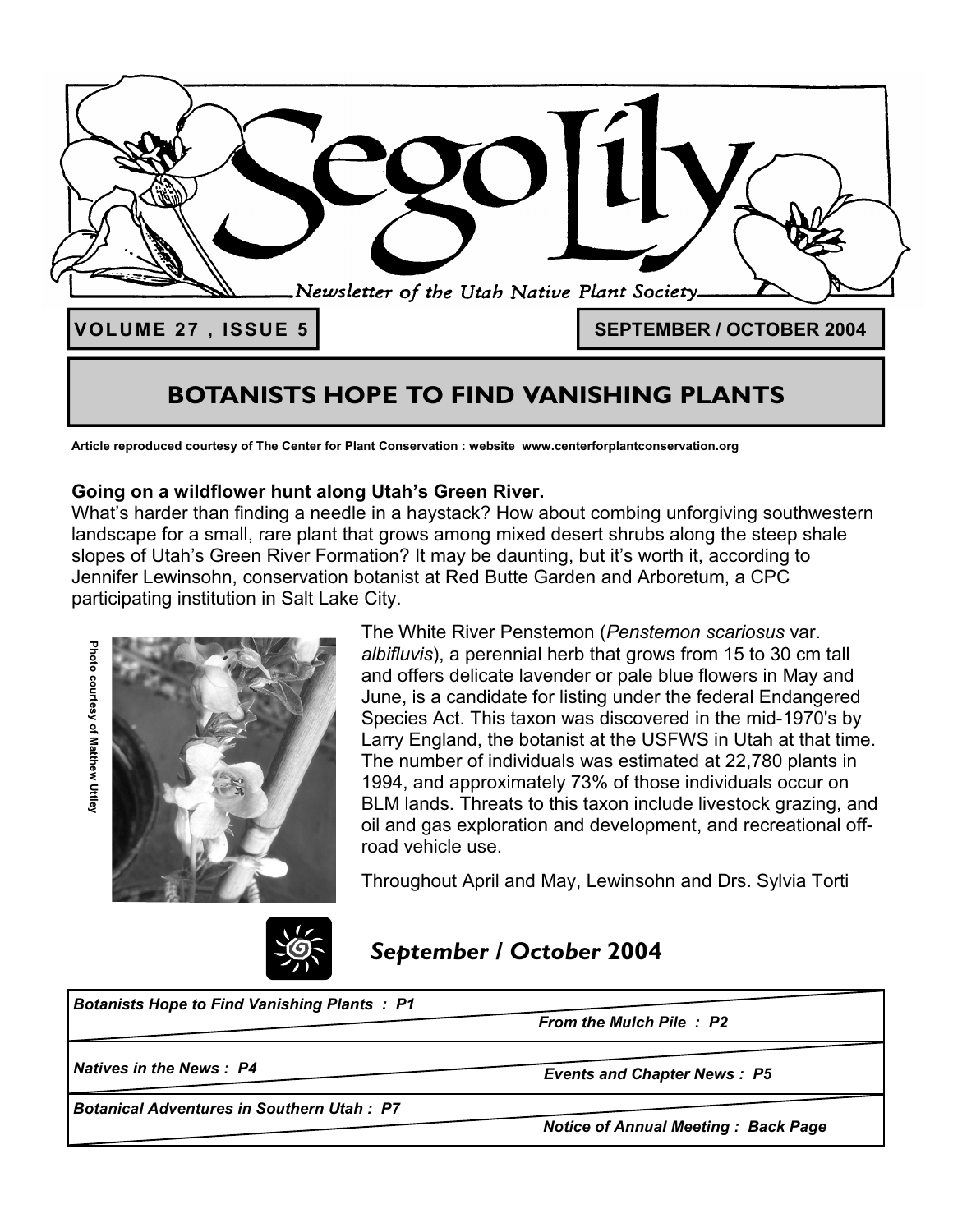

# **BOTANISTS HOPE TO FIND VANISHING PLANTS**

**Article reproduced courtesy of The Center for Plant Conservation : website www.centerforplantconservation.org**

### **Going on a wildflower hunt along Utah's Green River.**

What's harder than finding a needle in a haystack? How about combing unforgiving southwestern landscape for a small, rare plant that grows among mixed desert shrubs along the steep shale slopes of Utah's Green River Formation? It may be daunting, but it's worth it, according to Jennifer Lewinsohn, conservation botanist at Red Butte Garden and Arboretum, a CPC participating institution in Salt Lake City.





The White River Penstemon (*Penstemon scariosus* var. *albifluvis*), a perennial herb that grows from 15 to 30 cm tall and offers delicate lavender or pale blue flowers in May and June, is a candidate for listing under the federal Endangered Species Act. This taxon was discovered in the mid-1970's by Larry England, the botanist at the USFWS in Utah at that time. The number of individuals was estimated at 22,780 plants in 1994, and approximately 73% of those individuals occur on BLM lands. Threats to this taxon include livestock grazing, and oil and gas exploration and development, and recreational offroad vehicle use.

Throughout April and May, Lewinsohn and Drs. Sylvia Torti

# *September / October* **2004**

*Botanists Hope to Find Vanishing Plants : P1* 

*From the Mulch Pile : P2* 

*Natives in the News : P4* 

*Botanical Adventures in Southern Utah : P7* 

*Events and Chapter News : P5* 

*Notice of Annual Meeting : Back Page*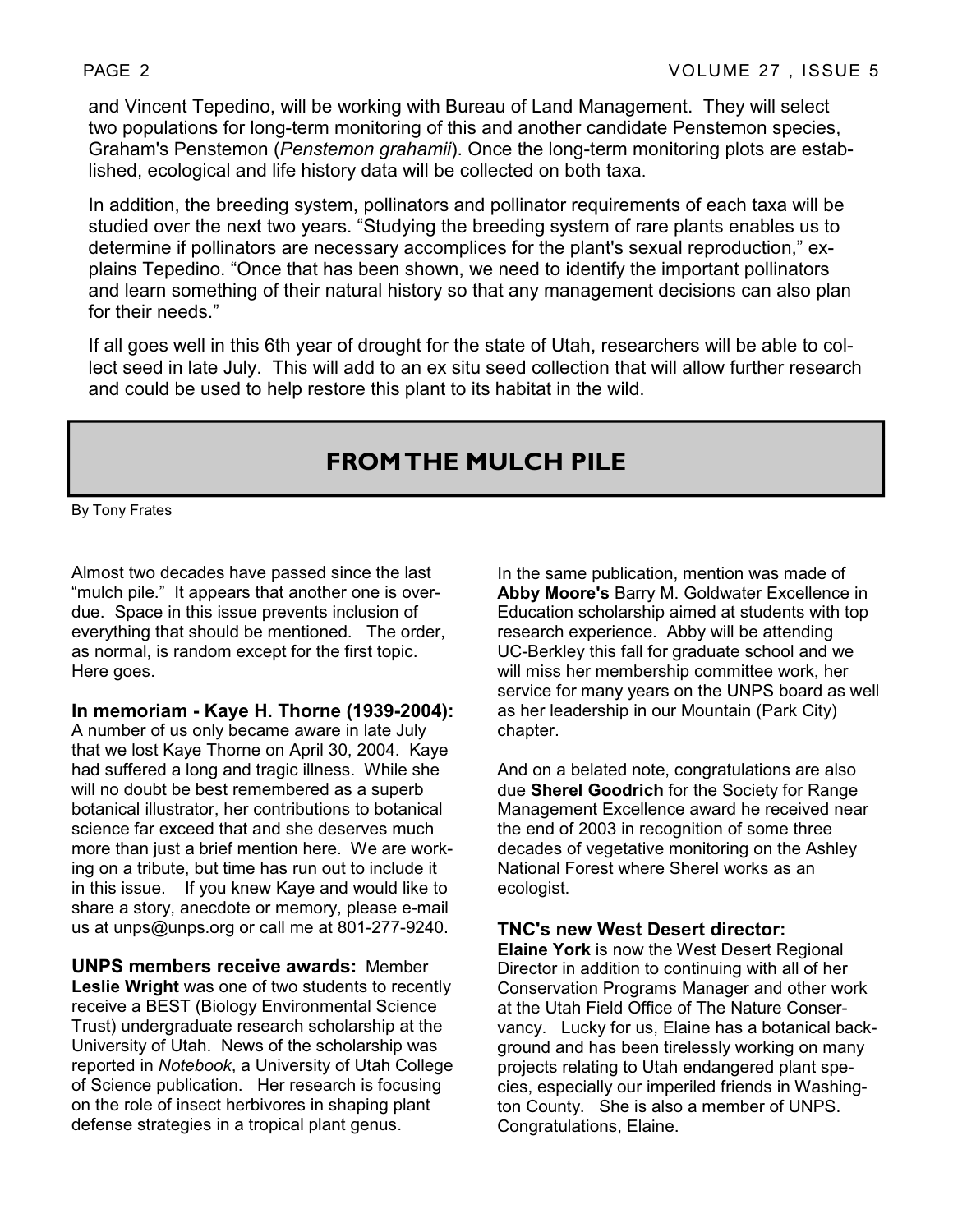and Vincent Tepedino, will be working with Bureau of Land Management. They will select two populations for long-term monitoring of this and another candidate Penstemon species, Graham's Penstemon (*Penstemon grahamii*). Once the long-term monitoring plots are established, ecological and life history data will be collected on both taxa.

In addition, the breeding system, pollinators and pollinator requirements of each taxa will be studied over the next two years. "Studying the breeding system of rare plants enables us to determine if pollinators are necessary accomplices for the plant's sexual reproduction," explains Tepedino. "Once that has been shown, we need to identify the important pollinators and learn something of their natural history so that any management decisions can also plan for their needs."

If all goes well in this 6th year of drought for the state of Utah, researchers will be able to collect seed in late July. This will add to an ex situ seed collection that will allow further research and could be used to help restore this plant to its habitat in the wild.

# **FROM THE MULCH PILE**

By Tony Frates

Almost two decades have passed since the last "mulch pile." It appears that another one is overdue. Space in this issue prevents inclusion of everything that should be mentioned. The order, as normal, is random except for the first topic. Here goes.

**In memoriam - Kaye H. Thorne (1939-2004):** 

A number of us only became aware in late July that we lost Kaye Thorne on April 30, 2004. Kaye had suffered a long and tragic illness. While she will no doubt be best remembered as a superb botanical illustrator, her contributions to botanical science far exceed that and she deserves much more than just a brief mention here. We are working on a tribute, but time has run out to include it in this issue. If you knew Kaye and would like to share a story, anecdote or memory, please e-mail us at unps@unps.org or call me at 801-277-9240.

**UNPS members receive awards:** Member **Leslie Wright** was one of two students to recently receive a BEST (Biology Environmental Science Trust) undergraduate research scholarship at the University of Utah. News of the scholarship was reported in *Notebook*, a University of Utah College of Science publication. Her research is focusing on the role of insect herbivores in shaping plant defense strategies in a tropical plant genus.

In the same publication, mention was made of **Abby Moore's** Barry M. Goldwater Excellence in Education scholarship aimed at students with top research experience. Abby will be attending UC-Berkley this fall for graduate school and we will miss her membership committee work, her service for many years on the UNPS board as well as her leadership in our Mountain (Park City) chapter.

And on a belated note, congratulations are also due **Sherel Goodrich** for the Society for Range Management Excellence award he received near the end of 2003 in recognition of some three decades of vegetative monitoring on the Ashley National Forest where Sherel works as an ecologist.

#### **TNC's new West Desert director:**

**Elaine York** is now the West Desert Regional Director in addition to continuing with all of her Conservation Programs Manager and other work at the Utah Field Office of The Nature Conservancy. Lucky for us, Elaine has a botanical background and has been tirelessly working on many projects relating to Utah endangered plant species, especially our imperiled friends in Washington County. She is also a member of UNPS. Congratulations, Elaine.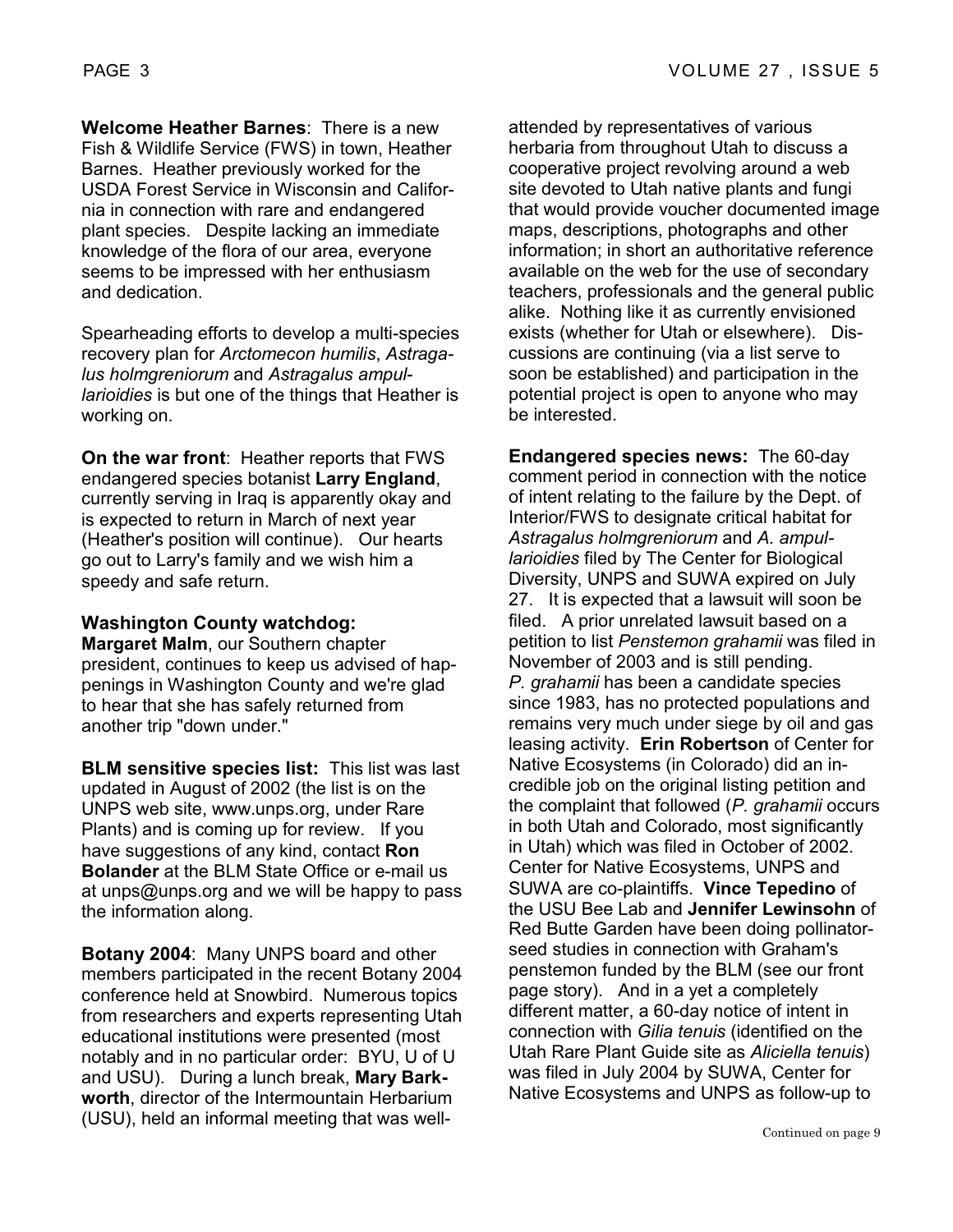**Welcome Heather Barnes**: There is a new Fish & Wildlife Service (FWS) in town, Heather Barnes. Heather previously worked for the USDA Forest Service in Wisconsin and California in connection with rare and endangered plant species. Despite lacking an immediate knowledge of the flora of our area, everyone seems to be impressed with her enthusiasm and dedication.

Spearheading efforts to develop a multi-species recovery plan for *Arctomecon humilis*, *Astragalus holmgreniorum* and *Astragalus ampullarioidies* is but one of the things that Heather is working on.

**On the war front**: Heather reports that FWS endangered species botanist **Larry England**, currently serving in Iraq is apparently okay and is expected to return in March of next year (Heather's position will continue). Our hearts go out to Larry's family and we wish him a speedy and safe return.

#### **Washington County watchdog:**

**Margaret Malm**, our Southern chapter president, continues to keep us advised of happenings in Washington County and we're glad to hear that she has safely returned from another trip "down under."

**BLM sensitive species list:** This list was last updated in August of 2002 (the list is on the UNPS web site, www.unps.org, under Rare Plants) and is coming up for review. If you have suggestions of any kind, contact **Ron Bolander** at the BLM State Office or e-mail us at unps@unps.org and we will be happy to pass the information along.

**Botany 2004**: Many UNPS board and other members participated in the recent Botany 2004 conference held at Snowbird. Numerous topics from researchers and experts representing Utah educational institutions were presented (most notably and in no particular order: BYU, U of U and USU). During a lunch break, **Mary Barkworth**, director of the Intermountain Herbarium (USU), held an informal meeting that was wellattended by representatives of various herbaria from throughout Utah to discuss a cooperative project revolving around a web site devoted to Utah native plants and fungi that would provide voucher documented image maps, descriptions, photographs and other information; in short an authoritative reference available on the web for the use of secondary teachers, professionals and the general public alike. Nothing like it as currently envisioned exists (whether for Utah or elsewhere). Discussions are continuing (via a list serve to soon be established) and participation in the potential project is open to anyone who may be interested.

**Endangered species news:** The 60-day comment period in connection with the notice of intent relating to the failure by the Dept. of Interior/FWS to designate critical habitat for *Astragalus holmgreniorum* and *A. ampullarioidies* filed by The Center for Biological Diversity, UNPS and SUWA expired on July 27. It is expected that a lawsuit will soon be filed. A prior unrelated lawsuit based on a petition to list *Penstemon grahamii* was filed in November of 2003 and is still pending. *P. grahamii* has been a candidate species since 1983, has no protected populations and remains very much under siege by oil and gas leasing activity. **Erin Robertson** of Center for Native Ecosystems (in Colorado) did an incredible job on the original listing petition and the complaint that followed (*P. grahamii* occurs in both Utah and Colorado, most significantly in Utah) which was filed in October of 2002. Center for Native Ecosystems, UNPS and SUWA are co-plaintiffs. **Vince Tepedino** of the USU Bee Lab and **Jennifer Lewinsohn** of Red Butte Garden have been doing pollinatorseed studies in connection with Graham's penstemon funded by the BLM (see our front page story). And in a yet a completely different matter, a 60-day notice of intent in connection with *Gilia tenuis* (identified on the Utah Rare Plant Guide site as *Aliciella tenuis*) was filed in July 2004 by SUWA, Center for Native Ecosystems and UNPS as follow-up to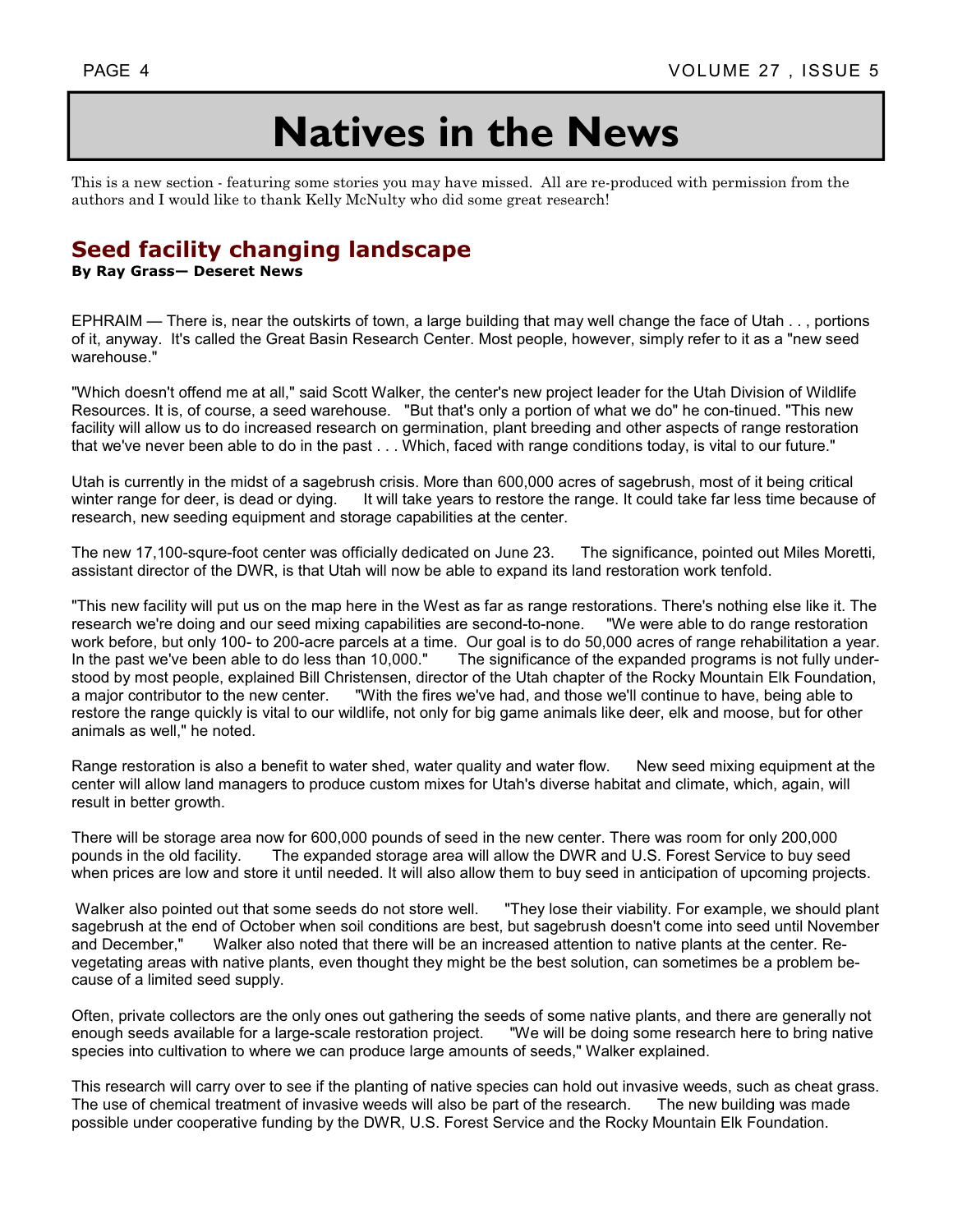# **Natives in the News**

This is a new section - featuring some stories you may have missed. All are re-produced with permission from the authors and I would like to thank Kelly McNulty who did some great research!

## **Seed facility changing landscape**

#### **By Ray Grass— Deseret News**

EPHRAIM — There is, near the outskirts of town, a large building that may well change the face of Utah . . , portions of it, anyway. It's called the Great Basin Research Center. Most people, however, simply refer to it as a "new seed warehouse."

"Which doesn't offend me at all," said Scott Walker, the center's new project leader for the Utah Division of Wildlife Resources. It is, of course, a seed warehouse. "But that's only a portion of what we do" he con-tinued. "This new facility will allow us to do increased research on germination, plant breeding and other aspects of range restoration that we've never been able to do in the past . . . Which, faced with range conditions today, is vital to our future."

Utah is currently in the midst of a sagebrush crisis. More than 600,000 acres of sagebrush, most of it being critical winter range for deer, is dead or dying. It will take years to restore the range. It could take far less time because of research, new seeding equipment and storage capabilities at the center.

The new 17,100-squre-foot center was officially dedicated on June 23. The significance, pointed out Miles Moretti, assistant director of the DWR, is that Utah will now be able to expand its land restoration work tenfold.

"This new facility will put us on the map here in the West as far as range restorations. There's nothing else like it. The research we're doing and our seed mixing capabilities are second-to-none. "We were able to do range restoration work before, but only 100- to 200-acre parcels at a time. Our goal is to do 50,000 acres of range rehabilitation a year. In the past we've been able to do less than 10,000." The significance of the expanded programs is not fully understood by most people, explained Bill Christensen, director of the Utah chapter of the Rocky Mountain Elk Foundation, a major contributor to the new center. "With the fires we've had, and those we'll continue to have, being able to restore the range quickly is vital to our wildlife, not only for big game animals like deer, elk and moose, but for other animals as well," he noted.

Range restoration is also a benefit to water shed, water quality and water flow. New seed mixing equipment at the center will allow land managers to produce custom mixes for Utah's diverse habitat and climate, which, again, will result in better growth.

There will be storage area now for 600,000 pounds of seed in the new center. There was room for only 200,000 pounds in the old facility. The expanded storage area will allow the DWR and U.S. Forest Service to buy seed when prices are low and store it until needed. It will also allow them to buy seed in anticipation of upcoming projects.

 Walker also pointed out that some seeds do not store well. "They lose their viability. For example, we should plant sagebrush at the end of October when soil conditions are best, but sagebrush doesn't come into seed until November and December," Walker also noted that there will be an increased attention to native plants at the center. Revegetating areas with native plants, even thought they might be the best solution, can sometimes be a problem because of a limited seed supply.

Often, private collectors are the only ones out gathering the seeds of some native plants, and there are generally not enough seeds available for a large-scale restoration project. "We will be doing some research here to bring native species into cultivation to where we can produce large amounts of seeds," Walker explained.

This research will carry over to see if the planting of native species can hold out invasive weeds, such as cheat grass. The use of chemical treatment of invasive weeds will also be part of the research. The new building was made possible under cooperative funding by the DWR, U.S. Forest Service and the Rocky Mountain Elk Foundation.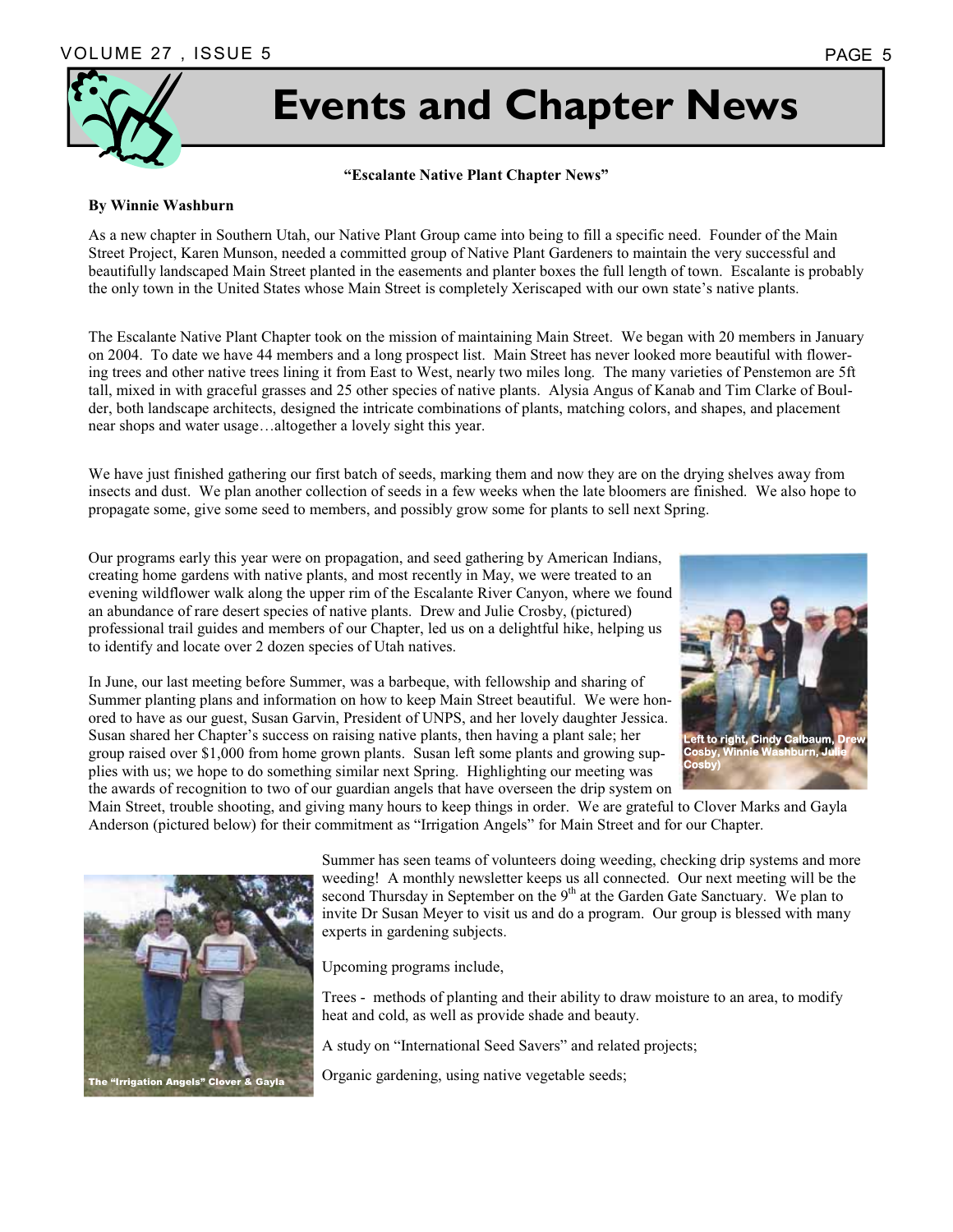

# **Events and Chapter News**

#### **"Escalante Native Plant Chapter News"**

#### **By Winnie Washburn**

As a new chapter in Southern Utah, our Native Plant Group came into being to fill a specific need. Founder of the Main Street Project, Karen Munson, needed a committed group of Native Plant Gardeners to maintain the very successful and beautifully landscaped Main Street planted in the easements and planter boxes the full length of town. Escalante is probably the only town in the United States whose Main Street is completely Xeriscaped with our own state's native plants.

The Escalante Native Plant Chapter took on the mission of maintaining Main Street. We began with 20 members in January on 2004. To date we have 44 members and a long prospect list. Main Street has never looked more beautiful with flowering trees and other native trees lining it from East to West, nearly two miles long. The many varieties of Penstemon are 5ft tall, mixed in with graceful grasses and 25 other species of native plants. Alysia Angus of Kanab and Tim Clarke of Boulder, both landscape architects, designed the intricate combinations of plants, matching colors, and shapes, and placement near shops and water usage…altogether a lovely sight this year.

We have just finished gathering our first batch of seeds, marking them and now they are on the drying shelves away from insects and dust. We plan another collection of seeds in a few weeks when the late bloomers are finished. We also hope to propagate some, give some seed to members, and possibly grow some for plants to sell next Spring.

Our programs early this year were on propagation, and seed gathering by American Indians, creating home gardens with native plants, and most recently in May, we were treated to an evening wildflower walk along the upper rim of the Escalante River Canyon, where we found an abundance of rare desert species of native plants. Drew and Julie Crosby, (pictured) professional trail guides and members of our Chapter, led us on a delightful hike, helping us to identify and locate over 2 dozen species of Utah natives.

In June, our last meeting before Summer, was a barbeque, with fellowship and sharing of Summer planting plans and information on how to keep Main Street beautiful. We were honored to have as our guest, Susan Garvin, President of UNPS, and her lovely daughter Jessica. Susan shared her Chapter's success on raising native plants, then having a plant sale; her group raised over \$1,000 from home grown plants. Susan left some plants and growing supplies with us; we hope to do something similar next Spring. Highlighting our meeting was the awards of recognition to two of our guardian angels that have overseen the drip system on **Cosby)** 



**Cosby, Winnie Washburn, Julie** 

Main Street, trouble shooting, and giving many hours to keep things in order. We are grateful to Clover Marks and Gayla Anderson (pictured below) for their commitment as "Irrigation Angels" for Main Street and for our Chapter.



Summer has seen teams of volunteers doing weeding, checking drip systems and more weeding! A monthly newsletter keeps us all connected. Our next meeting will be the second Thursday in September on the  $9<sup>th</sup>$  at the Garden Gate Sanctuary. We plan to invite Dr Susan Meyer to visit us and do a program. Our group is blessed with many experts in gardening subjects.

Upcoming programs include,

Trees - methods of planting and their ability to draw moisture to an area, to modify heat and cold, as well as provide shade and beauty.

A study on "International Seed Savers" and related projects;

Organic gardening, using native vegetable seeds;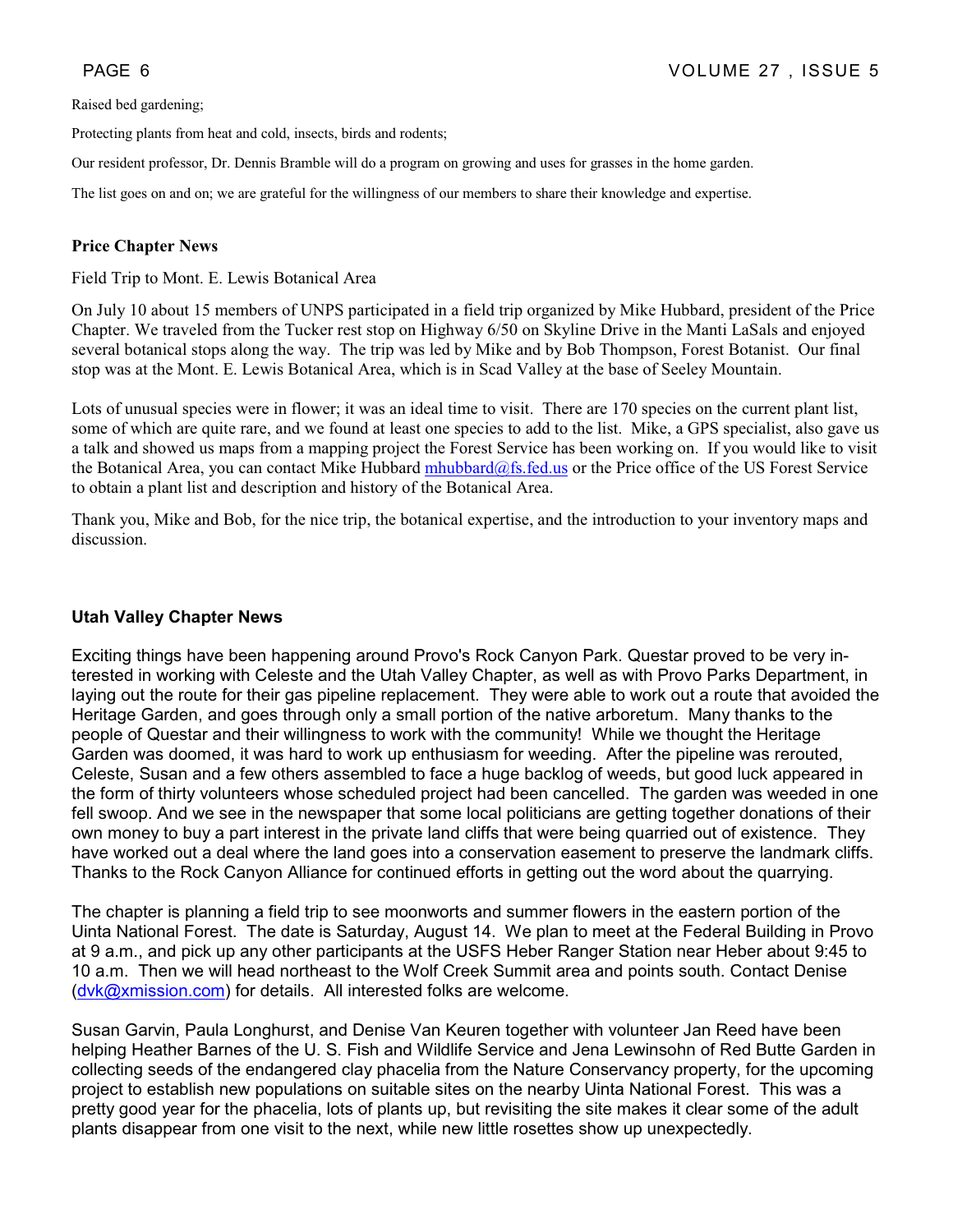Raised bed gardening;

Protecting plants from heat and cold, insects, birds and rodents;

Our resident professor, Dr. Dennis Bramble will do a program on growing and uses for grasses in the home garden.

The list goes on and on; we are grateful for the willingness of our members to share their knowledge and expertise.

#### **Price Chapter News**

Field Trip to Mont. E. Lewis Botanical Area

On July 10 about 15 members of UNPS participated in a field trip organized by Mike Hubbard, president of the Price Chapter. We traveled from the Tucker rest stop on Highway 6/50 on Skyline Drive in the Manti LaSals and enjoyed several botanical stops along the way. The trip was led by Mike and by Bob Thompson, Forest Botanist. Our final stop was at the Mont. E. Lewis Botanical Area, which is in Scad Valley at the base of Seeley Mountain.

Lots of unusual species were in flower; it was an ideal time to visit. There are 170 species on the current plant list, some of which are quite rare, and we found at least one species to add to the list. Mike, a GPS specialist, also gave us a talk and showed us maps from a mapping project the Forest Service has been working on. If you would like to visit the Botanical Area, you can contact Mike Hubbard mhubbard@fs.fed.us or the Price office of the US Forest Service to obtain a plant list and description and history of the Botanical Area.

Thank you, Mike and Bob, for the nice trip, the botanical expertise, and the introduction to your inventory maps and discussion.

#### **Utah Valley Chapter News**

Exciting things have been happening around Provo's Rock Canyon Park. Questar proved to be very interested in working with Celeste and the Utah Valley Chapter, as well as with Provo Parks Department, in laying out the route for their gas pipeline replacement. They were able to work out a route that avoided the Heritage Garden, and goes through only a small portion of the native arboretum. Many thanks to the people of Questar and their willingness to work with the community! While we thought the Heritage Garden was doomed, it was hard to work up enthusiasm for weeding. After the pipeline was rerouted, Celeste, Susan and a few others assembled to face a huge backlog of weeds, but good luck appeared in the form of thirty volunteers whose scheduled project had been cancelled. The garden was weeded in one fell swoop. And we see in the newspaper that some local politicians are getting together donations of their own money to buy a part interest in the private land cliffs that were being quarried out of existence. They have worked out a deal where the land goes into a conservation easement to preserve the landmark cliffs. Thanks to the Rock Canyon Alliance for continued efforts in getting out the word about the quarrying.

The chapter is planning a field trip to see moonworts and summer flowers in the eastern portion of the Uinta National Forest. The date is Saturday, August 14. We plan to meet at the Federal Building in Provo at 9 a.m., and pick up any other participants at the USFS Heber Ranger Station near Heber about 9:45 to 10 a.m. Then we will head northeast to the Wolf Creek Summit area and points south. Contact Denise (dvk@xmission.com) for details. All interested folks are welcome.

Susan Garvin, Paula Longhurst, and Denise Van Keuren together with volunteer Jan Reed have been helping Heather Barnes of the U. S. Fish and Wildlife Service and Jena Lewinsohn of Red Butte Garden in collecting seeds of the endangered clay phacelia from the Nature Conservancy property, for the upcoming project to establish new populations on suitable sites on the nearby Uinta National Forest. This was a pretty good year for the phacelia, lots of plants up, but revisiting the site makes it clear some of the adult plants disappear from one visit to the next, while new little rosettes show up unexpectedly.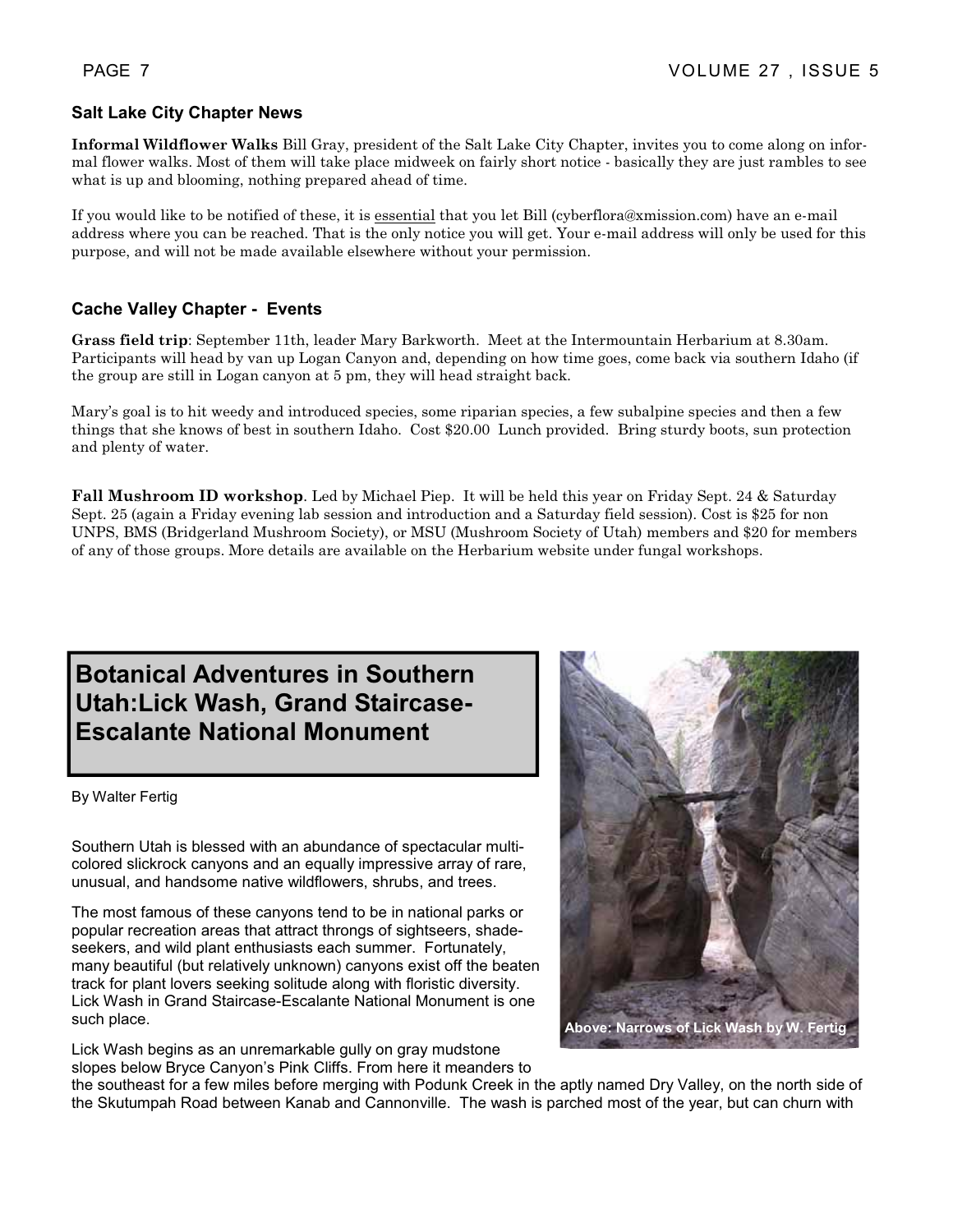#### **Salt Lake City Chapter News**

**Informal Wildflower Walks** Bill Gray, president of the Salt Lake City Chapter, invites you to come along on informal flower walks. Most of them will take place midweek on fairly short notice - basically they are just rambles to see what is up and blooming, nothing prepared ahead of time.

If you would like to be notified of these, it is essential that you let Bill (cyberflora@xmission.com) have an e-mail address where you can be reached. That is the only notice you will get. Your e-mail address will only be used for this purpose, and will not be made available elsewhere without your permission.

#### **Cache Valley Chapter - Events**

**Grass field trip**: September 11th, leader Mary Barkworth. Meet at the Intermountain Herbarium at 8.30am. Participants will head by van up Logan Canyon and, depending on how time goes, come back via southern Idaho (if the group are still in Logan canyon at 5 pm, they will head straight back.

Mary's goal is to hit weedy and introduced species, some riparian species, a few subalpine species and then a few things that she knows of best in southern Idaho. Cost \$20.00 Lunch provided. Bring sturdy boots, sun protection and plenty of water.

**Fall Mushroom ID workshop**. Led by Michael Piep. It will be held this year on Friday Sept. 24 & Saturday Sept. 25 (again a Friday evening lab session and introduction and a Saturday field session). Cost is \$25 for non UNPS, BMS (Bridgerland Mushroom Society), or MSU (Mushroom Society of Utah) members and \$20 for members of any of those groups. More details are available on the Herbarium website under fungal workshops.

# **Botanical Adventures in Southern Utah:Lick Wash, Grand Staircase-Escalante National Monument**

By Walter Fertig

Southern Utah is blessed with an abundance of spectacular multicolored slickrock canyons and an equally impressive array of rare, unusual, and handsome native wildflowers, shrubs, and trees.

The most famous of these canyons tend to be in national parks or popular recreation areas that attract throngs of sightseers, shadeseekers, and wild plant enthusiasts each summer. Fortunately, many beautiful (but relatively unknown) canyons exist off the beaten track for plant lovers seeking solitude along with floristic diversity. Lick Wash in Grand Staircase-Escalante National Monument is one such place.

Lick Wash begins as an unremarkable gully on gray mudstone slopes below Bryce Canyon's Pink Cliffs. From here it meanders to



the southeast for a few miles before merging with Podunk Creek in the aptly named Dry Valley, on the north side of the Skutumpah Road between Kanab and Cannonville. The wash is parched most of the year, but can churn with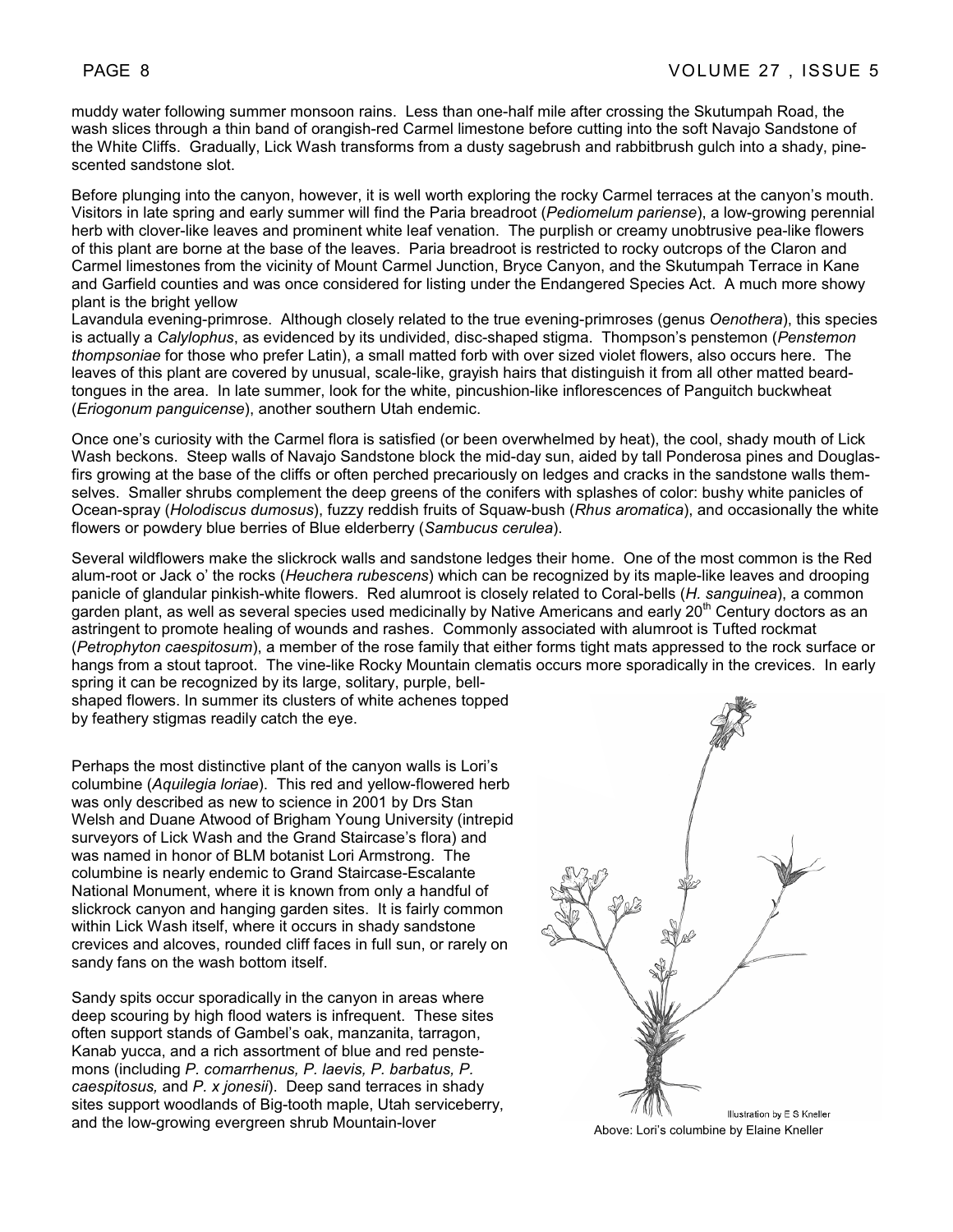muddy water following summer monsoon rains. Less than one-half mile after crossing the Skutumpah Road, the wash slices through a thin band of orangish-red Carmel limestone before cutting into the soft Navajo Sandstone of the White Cliffs. Gradually, Lick Wash transforms from a dusty sagebrush and rabbitbrush gulch into a shady, pinescented sandstone slot.

Before plunging into the canyon, however, it is well worth exploring the rocky Carmel terraces at the canyon's mouth. Visitors in late spring and early summer will find the Paria breadroot (*Pediomelum pariense*), a low-growing perennial herb with clover-like leaves and prominent white leaf venation. The purplish or creamy unobtrusive pea-like flowers of this plant are borne at the base of the leaves. Paria breadroot is restricted to rocky outcrops of the Claron and Carmel limestones from the vicinity of Mount Carmel Junction, Bryce Canyon, and the Skutumpah Terrace in Kane and Garfield counties and was once considered for listing under the Endangered Species Act. A much more showy plant is the bright yellow

Lavandula evening-primrose. Although closely related to the true evening-primroses (genus *Oenothera*), this species is actually a *Calylophus*, as evidenced by its undivided, disc-shaped stigma. Thompson's penstemon (*Penstemon thompsoniae* for those who prefer Latin), a small matted forb with over sized violet flowers, also occurs here. The leaves of this plant are covered by unusual, scale-like, grayish hairs that distinguish it from all other matted beardtongues in the area. In late summer, look for the white, pincushion-like inflorescences of Panguitch buckwheat (*Eriogonum panguicense*), another southern Utah endemic.

Once one's curiosity with the Carmel flora is satisfied (or been overwhelmed by heat), the cool, shady mouth of Lick Wash beckons. Steep walls of Navajo Sandstone block the mid-day sun, aided by tall Ponderosa pines and Douglasfirs growing at the base of the cliffs or often perched precariously on ledges and cracks in the sandstone walls themselves. Smaller shrubs complement the deep greens of the conifers with splashes of color: bushy white panicles of Ocean-spray (*Holodiscus dumosus*), fuzzy reddish fruits of Squaw-bush (*Rhus aromatica*), and occasionally the white flowers or powdery blue berries of Blue elderberry (*Sambucus cerulea*).

Several wildflowers make the slickrock walls and sandstone ledges their home. One of the most common is the Red alum-root or Jack o' the rocks (*Heuchera rubescens*) which can be recognized by its maple-like leaves and drooping panicle of glandular pinkish-white flowers. Red alumroot is closely related to Coral-bells (*H. sanguinea*), a common garden plant, as well as several species used medicinally by Native Americans and early 20<sup>th</sup> Century doctors as an astringent to promote healing of wounds and rashes. Commonly associated with alumroot is Tufted rockmat (*Petrophyton caespitosum*), a member of the rose family that either forms tight mats appressed to the rock surface or hangs from a stout taproot. The vine-like Rocky Mountain clematis occurs more sporadically in the crevices. In early spring it can be recognized by its large, solitary, purple, bell-

shaped flowers. In summer its clusters of white achenes topped by feathery stigmas readily catch the eye.

Perhaps the most distinctive plant of the canyon walls is Lori's columbine (*Aquilegia loriae*). This red and yellow-flowered herb was only described as new to science in 2001 by Drs Stan Welsh and Duane Atwood of Brigham Young University (intrepid surveyors of Lick Wash and the Grand Staircase's flora) and was named in honor of BLM botanist Lori Armstrong. The columbine is nearly endemic to Grand Staircase-Escalante National Monument, where it is known from only a handful of slickrock canyon and hanging garden sites. It is fairly common within Lick Wash itself, where it occurs in shady sandstone crevices and alcoves, rounded cliff faces in full sun, or rarely on sandy fans on the wash bottom itself.

Sandy spits occur sporadically in the canyon in areas where deep scouring by high flood waters is infrequent. These sites often support stands of Gambel's oak, manzanita, tarragon, Kanab yucca, and a rich assortment of blue and red penstemons (including *P. comarrhenus, P. laevis, P. barbatus, P. caespitosus,* and *P. x jonesii*). Deep sand terraces in shady sites support woodlands of Big-tooth maple, Utah serviceberry, and the low-growing evergreen shrub Mountain-lover<br>
and the low-growing evergreen shrub Mountain-lover<br>
Above: Lori's columbine by Elaine Kneller

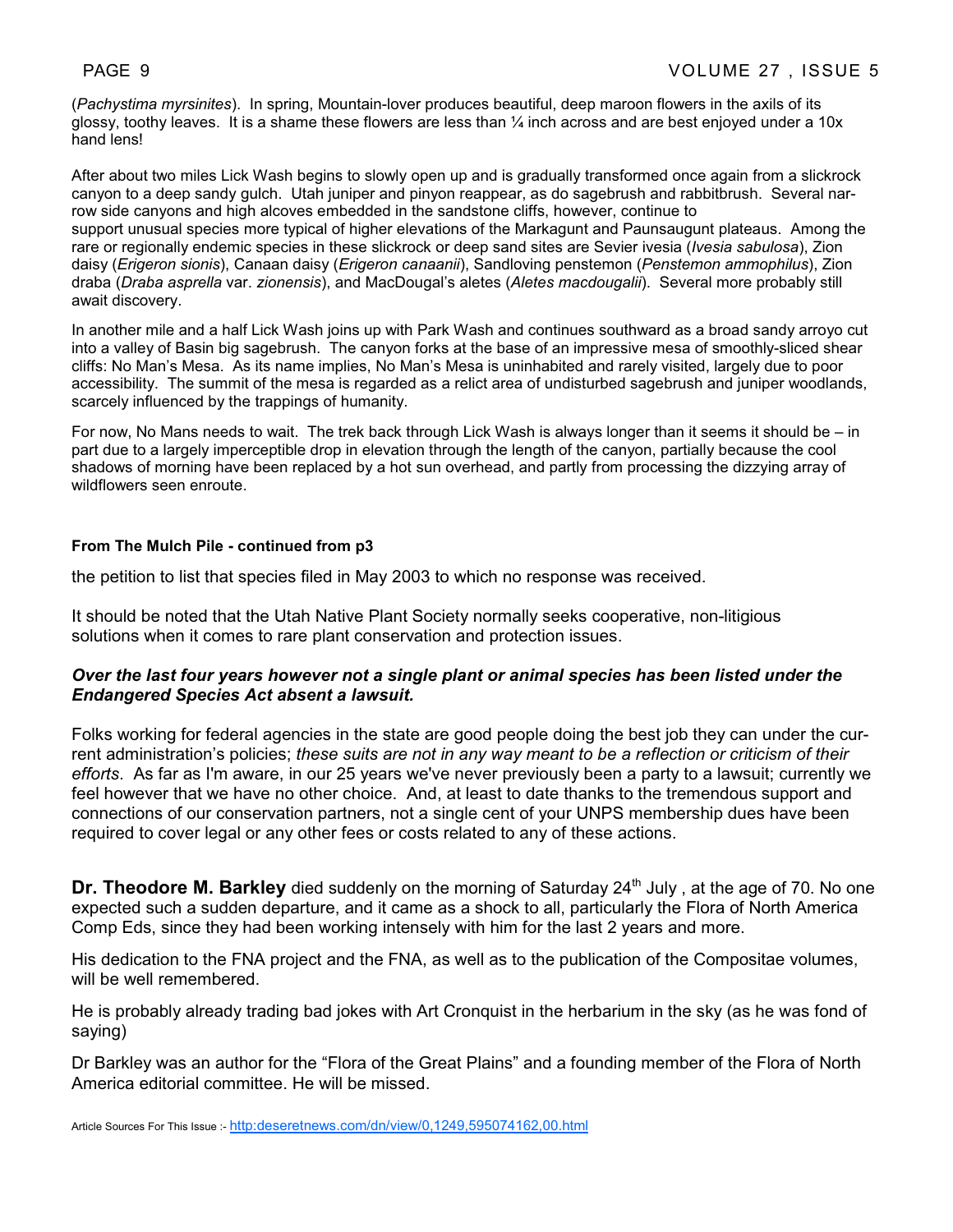(*Pachystima myrsinites*). In spring, Mountain-lover produces beautiful, deep maroon flowers in the axils of its glossy, toothy leaves. It is a shame these flowers are less than ¼ inch across and are best enjoyed under a 10x hand lens!

After about two miles Lick Wash begins to slowly open up and is gradually transformed once again from a slickrock canyon to a deep sandy gulch. Utah juniper and pinyon reappear, as do sagebrush and rabbitbrush. Several narrow side canyons and high alcoves embedded in the sandstone cliffs, however, continue to support unusual species more typical of higher elevations of the Markagunt and Paunsaugunt plateaus. Among the rare or regionally endemic species in these slickrock or deep sand sites are Sevier ivesia (*Ivesia sabulosa*), Zion daisy (*Erigeron sionis*), Canaan daisy (*Erigeron canaanii*), Sandloving penstemon (*Penstemon ammophilus*), Zion draba (*Draba asprella* var. *zionensis*), and MacDougal's aletes (*Aletes macdougalii*). Several more probably still await discovery.

In another mile and a half Lick Wash joins up with Park Wash and continues southward as a broad sandy arroyo cut into a valley of Basin big sagebrush. The canyon forks at the base of an impressive mesa of smoothly-sliced shear cliffs: No Man's Mesa. As its name implies, No Man's Mesa is uninhabited and rarely visited, largely due to poor accessibility. The summit of the mesa is regarded as a relict area of undisturbed sagebrush and juniper woodlands, scarcely influenced by the trappings of humanity.

For now, No Mans needs to wait. The trek back through Lick Wash is always longer than it seems it should be – in part due to a largely imperceptible drop in elevation through the length of the canyon, partially because the cool shadows of morning have been replaced by a hot sun overhead, and partly from processing the dizzying array of wildflowers seen enroute.

#### **From The Mulch Pile - continued from p3**

the petition to list that species filed in May 2003 to which no response was received.

It should be noted that the Utah Native Plant Society normally seeks cooperative, non-litigious solutions when it comes to rare plant conservation and protection issues.

#### *Over the last four years however not a single plant or animal species has been listed under the Endangered Species Act absent a lawsuit.*

Folks working for federal agencies in the state are good people doing the best job they can under the current administration's policies; *these suits are not in any way meant to be a reflection or criticism of their efforts*. As far as I'm aware, in our 25 years we've never previously been a party to a lawsuit; currently we feel however that we have no other choice. And, at least to date thanks to the tremendous support and connections of our conservation partners, not a single cent of your UNPS membership dues have been required to cover legal or any other fees or costs related to any of these actions.

**Dr. Theodore M. Barkley** died suddenly on the morning of Saturday 24<sup>th</sup> July, at the age of 70. No one expected such a sudden departure, and it came as a shock to all, particularly the Flora of North America Comp Eds, since they had been working intensely with him for the last 2 years and more.

His dedication to the FNA project and the FNA, as well as to the publication of the Compositae volumes, will be well remembered.

He is probably already trading bad jokes with Art Cronquist in the herbarium in the sky (as he was fond of saying)

Dr Barkley was an author for the "Flora of the Great Plains" and a founding member of the Flora of North America editorial committee. He will be missed.